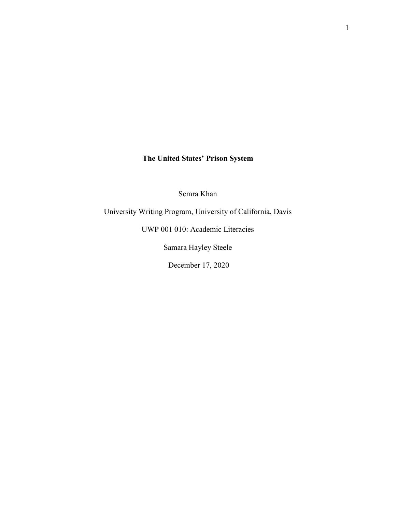# **The United States' Prison System**

Semra Khan

University Writing Program, University of California, Davis

UWP 001 010: Academic Literacies

Samara Hayley Steele

December 17, 2020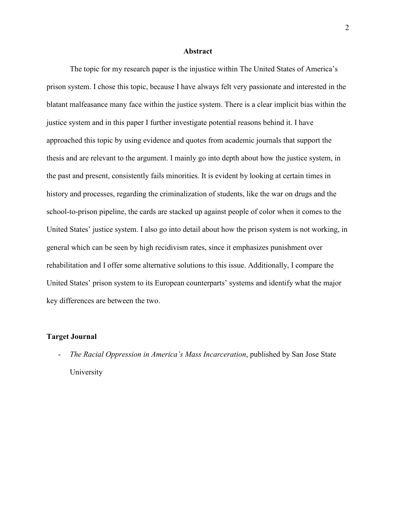## **Abstract**

The topic for my research paper is the injustice within The United States of America's prison system. I chose this topic, because I have always felt very passionate and interested in the blatant malfeasance many face within the justice system. There is a clear implicit bias within the justice system and in this paper I further investigate potential reasons behind it. I have approached this topic by using evidence and quotes from academic journals that support the thesis and are relevant to the argument. I mainly go into depth about how the justice system, in the past and present, consistently fails minorities. It is evident by looking at certain times in history and processes, regarding the criminalization of students, like the war on drugs and the school-to-prison pipeline, the cards are stacked up against people of color when it comes to the United States' justice system. I also go into detail about how the prison system is not working, in general which can be seen by high recidivism rates, since it emphasizes punishment over rehabilitation and I offer some alternative solutions to this issue. Additionally, I compare the United States' prison system to its European counterparts' systems and identify what the major key differences are between the two.

# **Target Journal**

The Racial Oppression in America's Mass Incarceration, published by San Jose State University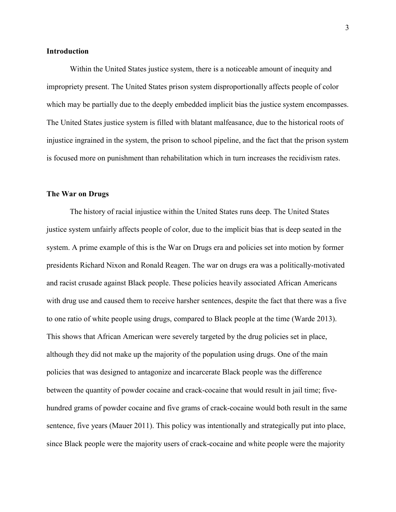# **Introduction**

Within the United States justice system, there is a noticeable amount of inequity and impropriety present. The United States prison system disproportionally affects people of color which may be partially due to the deeply embedded implicit bias the justice system encompasses. The United States justice system is filled with blatant malfeasance, due to the historical roots of injustice ingrained in the system, the prison to school pipeline, and the fact that the prison system is focused more on punishment than rehabilitation which in turn increases the recidivism rates.

# **The War on Drugs**

The history of racial injustice within the United States runs deep. The United States justice system unfairly affects people of color, due to the implicit bias that is deep seated in the system. A prime example of this is the War on Drugs era and policies set into motion by former presidents Richard Nixon and Ronald Reagen. The war on drugs era was a politically-motivated and racist crusade against Black people. These policies heavily associated African Americans with drug use and caused them to receive harsher sentences, despite the fact that there was a five to one ratio of white people using drugs, compared to Black people at the time (Warde 2013). This shows that African American were severely targeted by the drug policies set in place, although they did not make up the majority of the population using drugs. One of the main policies that was designed to antagonize and incarcerate Black people was the difference between the quantity of powder cocaine and crack-cocaine that would result in jail time; fivehundred grams of powder cocaine and five grams of crack-cocaine would both result in the same sentence, five years (Mauer 2011). This policy was intentionally and strategically put into place, since Black people were the majority users of crack-cocaine and white people were the majority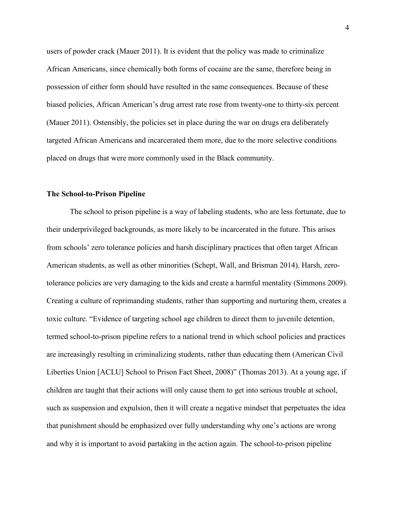users of powder crack (Mauer 2011). It is evident that the policy was made to criminalize African Americans, since chemically both forms of cocaine are the same, therefore being in possession of either form should have resulted in the same consequences. Because of these biased policies, African American's drug arrest rate rose from twenty-one to thirty-six percent (Mauer 2011). Ostensibly, the policies set in place during the war on drugs era deliberately targeted African Americans and incarcerated them more, due to the more selective conditions placed on drugs that were more commonly used in the Black community.

#### **The School-to-Prison Pipeline**

The school to prison pipeline is a way of labeling students, who are less fortunate, due to their underprivileged backgrounds, as more likely to be incarcerated in the future. This arises from schools' zero tolerance policies and harsh disciplinary practices that often target African American students, as well as other minorities (Schept, Wall, and Brisman 2014). Harsh, zerotolerance policies are very damaging to the kids and create a harmful mentality (Simmons 2009). Creating a culture of reprimanding students, rather than supporting and nurturing them, creates a toxic culture. "Evidence of targeting school age children to direct them to juvenile detention, termed school-to-prison pipeline refers to a national trend in which school policies and practices are increasingly resulting in criminalizing students, rather than educating them (American Civil Liberties Union [ACLU] School to Prison Fact Sheet, 2008)" (Thomas 2013). At a young age, if children are taught that their actions will only cause them to get into serious trouble at school, such as suspension and expulsion, then it will create a negative mindset that perpetuates the idea that punishment should be emphasized over fully understanding why one's actions are wrong and why it is important to avoid partaking in the action again. The school-to-prison pipeline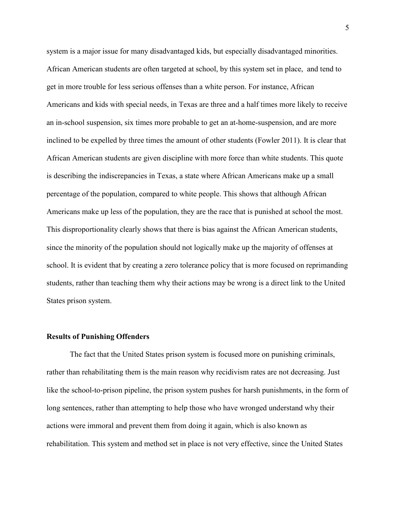system is a major issue for many disadvantaged kids, but especially disadvantaged minorities. African American students are often targeted at school, by this system set in place, and tend to get in more trouble for less serious offenses than a white person. For instance, African Americans and kids with special needs, in Texas are three and a half times more likely to receive an in-school suspension, six times more probable to get an at-home-suspension, and are more inclined to be expelled by three times the amount of other students (Fowler 2011). It is clear that African American students are given discipline with more force than white students. This quote is describing the indiscrepancies in Texas, a state where African Americans make up a small percentage of the population, compared to white people. This shows that although African Americans make up less of the population, they are the race that is punished at school the most. This disproportionality clearly shows that there is bias against the African American students, since the minority of the population should not logically make up the majority of offenses at school. It is evident that by creating a zero tolerance policy that is more focused on reprimanding students, rather than teaching them why their actions may be wrong is a direct link to the United States prison system.

#### **Results of Punishing Offenders**

The fact that the United States prison system is focused more on punishing criminals, rather than rehabilitating them is the main reason why recidivism rates are not decreasing. Just like the school-to-prison pipeline, the prison system pushes for harsh punishments, in the form of long sentences, rather than attempting to help those who have wronged understand why their actions were immoral and prevent them from doing it again, which is also known as rehabilitation. This system and method set in place is not very effective, since the United States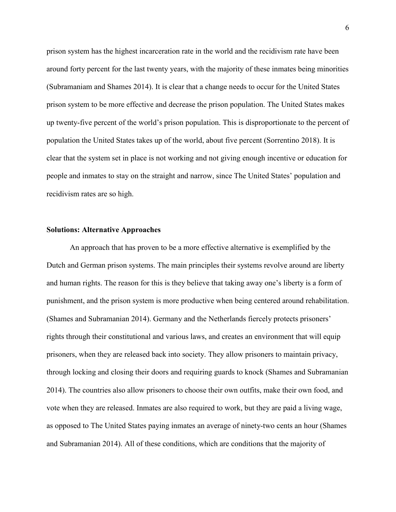prison system has the highest incarceration rate in the world and the recidivism rate have been around forty percent for the last twenty years, with the majority of these inmates being minorities (Subramaniam and Shames 2014). It is clear that a change needs to occur for the United States prison system to be more effective and decrease the prison population. The United States makes up twenty-five percent of the world's prison population. This is disproportionate to the percent of population the United States takes up of the world, about five percent (Sorrentino 2018). It is clear that the system set in place is not working and not giving enough incentive or education for people and inmates to stay on the straight and narrow, since The United States' population and recidivism rates are so high.

## **Solutions: Alternative Approaches**

An approach that has proven to be a more effective alternative is exemplified by the Dutch and German prison systems. The main principles their systems revolve around are liberty and human rights. The reason for this is they believe that taking away one's liberty is a form of punishment, and the prison system is more productive when being centered around rehabilitation. (Shames and Subramanian 2014). Germany and the Netherlands fiercely protects prisoners' rights through their constitutional and various laws, and creates an environment that will equip prisoners, when they are released back into society. They allow prisoners to maintain privacy, through locking and closing their doors and requiring guards to knock (Shames and Subramanian 2014). The countries also allow prisoners to choose their own outfits, make their own food, and vote when they are released. Inmates are also required to work, but they are paid a living wage, as opposed to The United States paying inmates an average of ninety-two cents an hour (Shames and Subramanian 2014). All of these conditions, which are conditions that the majority of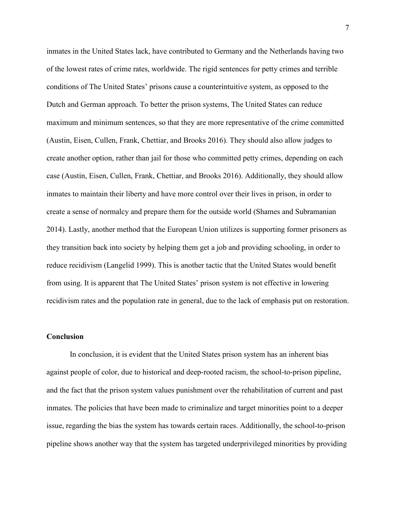inmates in the United States lack, have contributed to Germany and the Netherlands having two of the lowest rates of crime rates, worldwide. The rigid sentences for petty crimes and terrible conditions of The United States' prisons cause a counterintuitive system, as opposed to the Dutch and German approach. To better the prison systems, The United States can reduce maximum and minimum sentences, so that they are more representative of the crime committed (Austin, Eisen, Cullen, Frank, Chettiar, and Brooks 2016). They should also allow judges to create another option, rather than jail for those who committed petty crimes, depending on each case (Austin, Eisen, Cullen, Frank, Chettiar, and Brooks 2016). Additionally, they should allow inmates to maintain their liberty and have more control over their lives in prison, in order to create a sense of normalcy and prepare them for the outside world (Shames and Subramanian 2014). Lastly, another method that the European Union utilizes is supporting former prisoners as they transition back into society by helping them get a job and providing schooling, in order to reduce recidivism (Langelid 1999). This is another tactic that the United States would benefit from using. It is apparent that The United States' prison system is not effective in lowering recidivism rates and the population rate in general, due to the lack of emphasis put on restoration.

# **Conclusion**

In conclusion, it is evident that the United States prison system has an inherent bias against people of color, due to historical and deep-rooted racism, the school-to-prison pipeline, and the fact that the prison system values punishment over the rehabilitation of current and past inmates. The policies that have been made to criminalize and target minorities point to a deeper issue, regarding the bias the system has towards certain races. Additionally, the school-to-prison pipeline shows another way that the system has targeted underprivileged minorities by providing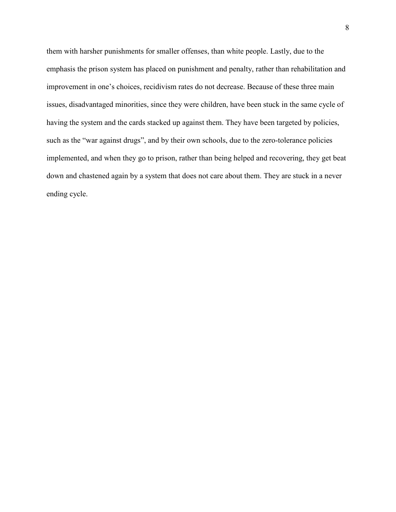them with harsher punishments for smaller offenses, than white people. Lastly, due to the emphasis the prison system has placed on punishment and penalty, rather than rehabilitation and improvement in one's choices, recidivism rates do not decrease. Because of these three main issues, disadvantaged minorities, since they were children, have been stuck in the same cycle of having the system and the cards stacked up against them. They have been targeted by policies, such as the "war against drugs", and by their own schools, due to the zero-tolerance policies implemented, and when they go to prison, rather than being helped and recovering, they get beat down and chastened again by a system that does not care about them. They are stuck in a never ending cycle.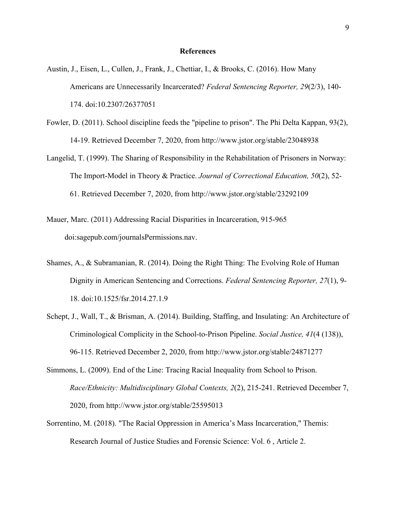## **References**

- Austin, J., Eisen, L., Cullen, J., Frank, J., Chettiar, I., & Brooks, C. (2016). How Many Americans are Unnecessarily Incarcerated? *Federal Sentencing Reporter, 29*(2/3), 140- 174. doi:10.2307/26377051
- Fowler, D. (2011). School discipline feeds the "pipeline to prison". The Phi Delta Kappan, 93(2), 14-19. Retrieved December 7, 2020, from http://www.jstor.org/stable/23048938
- Langelid, T. (1999). The Sharing of Responsibility in the Rehabilitation of Prisoners in Norway: The Import-Model in Theory & Practice. *Journal of Correctional Education, 50*(2), 52- 61. Retrieved December 7, 2020, from http://www.jstor.org/stable/23292109
- Mauer, Marc. (2011) Addressing Racial Disparities in Incarceration, 915-965 doi:sagepub.com/journalsPermissions.nav.
- Shames, A., & Subramanian, R. (2014). Doing the Right Thing: The Evolving Role of Human Dignity in American Sentencing and Corrections. *Federal Sentencing Reporter, 27*(1), 9- 18. doi:10.1525/fsr.2014.27.1.9
- Schept, J., Wall, T., & Brisman, A. (2014). Building, Staffing, and Insulating: An Architecture of Criminological Complicity in the School-to-Prison Pipeline. *Social Justice, 41*(4 (138)), 96-115. Retrieved December 2, 2020, from http://www.jstor.org/stable/24871277
- Simmons, L. (2009). End of the Line: Tracing Racial Inequality from School to Prison. *Race/Ethnicity: Multidisciplinary Global Contexts, 2*(2), 215-241. Retrieved December 7, 2020, from http://www.jstor.org/stable/25595013
- Sorrentino, M. (2018). "The Racial Oppression in America's Mass Incarceration," Themis: Research Journal of Justice Studies and Forensic Science: Vol. 6 , Article 2.